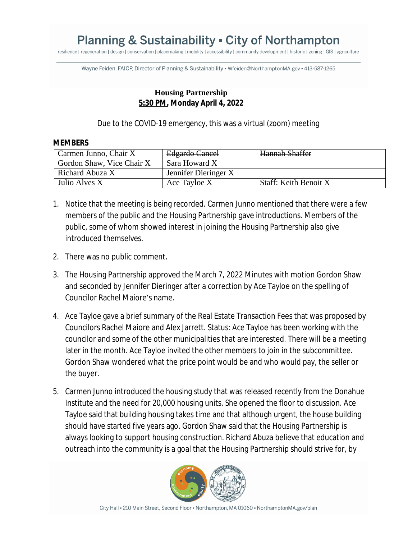## **Planning & Sustainability • City of Northampton**

resilience | regeneration | design | conservation | placemaking | mobility | accessibility | community development | historic | zoning | GIS | agriculture

Wayne Feiden, FAICP, Director of Planning & Sustainability · Wfeiden@NorthamptonMA.gov · 413-587-1265

## **Housing Partnership 5:30 PM, Monday April 4, 2022**

Due to the COVID-19 emergency, this was a virtual (zoom) meeting

## **MEMBERS**

| Carmen Junno, Chair X     | Edgardo Cancel       | Hannah Shaffer        |
|---------------------------|----------------------|-----------------------|
| Gordon Shaw, Vice Chair X | Sara Howard X        |                       |
| Richard Abuza X           | Jennifer Dieringer X |                       |
| Julio Alves X             | Ace Tayloe X         | Staff: Keith Benoit X |

- 1. Notice that the meeting is being recorded. Carmen Junno mentioned that there were a few members of the public and the Housing Partnership gave introductions. Members of the public, some of whom showed interest in joining the Housing Partnership also give introduced themselves.
- 2. There was no public comment.
- 3. The Housing Partnership approved the March 7, 2022 Minutes with motion Gordon Shaw and seconded by Jennifer Dieringer after a correction by Ace Tayloe on the spelling of Councilor Rachel Maiore's name.
- 4. Ace Tayloe gave a brief summary of the Real Estate Transaction Fees that was proposed by Councilors Rachel Maiore and Alex Jarrett. Status: Ace Tayloe has been working with the councilor and some of the other municipalities that are interested. There will be a meeting later in the month. Ace Tayloe invited the other members to join in the subcommittee. Gordon Shaw wondered what the price point would be and who would pay, the seller or the buyer.
- 5. Carmen Junno introduced the housing study that was released recently from the Donahue Institute and the need for 20,000 housing units. She opened the floor to discussion. Ace Tayloe said that building housing takes time and that although urgent, the house building should have started five years ago. Gordon Shaw said that the Housing Partnership is always looking to support housing construction. Richard Abuza believe that education and outreach into the community is a goal that the Housing Partnership should strive for, by



City Hall - 210 Main Street, Second Floor - Northampton, MA 01060 - NorthamptonMA.gov/plan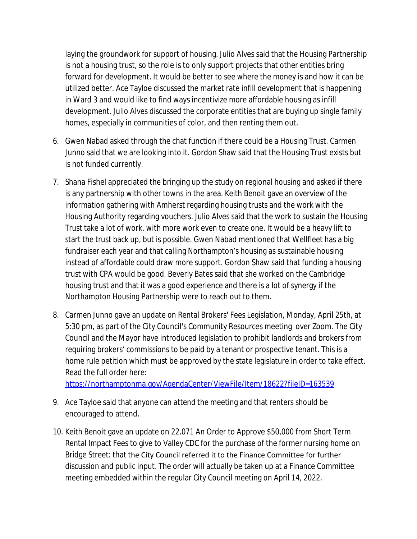laying the groundwork for support of housing. Julio Alves said that the Housing Partnership is not a housing trust, so the role is to only support projects that other entities bring forward for development. It would be better to see where the money is and how it can be utilized better. Ace Tayloe discussed the market rate infill development that is happening in Ward 3 and would like to find ways incentivize more affordable housing as infill development. Julio Alves discussed the corporate entities that are buying up single family homes, especially in communities of color, and then renting them out.

- 6. Gwen Nabad asked through the chat function if there could be a Housing Trust. Carmen Junno said that we are looking into it. Gordon Shaw said that the Housing Trust exists but is not funded currently.
- 7. Shana Fishel appreciated the bringing up the study on regional housing and asked if there is any partnership with other towns in the area. Keith Benoit gave an overview of the information gathering with Amherst regarding housing trusts and the work with the Housing Authority regarding vouchers. Julio Alves said that the work to sustain the Housing Trust take a lot of work, with more work even to create one. It would be a heavy lift to start the trust back up, but is possible. Gwen Nabad mentioned that Wellfleet has a big fundraiser each year and that calling Northampton's housing as sustainable housing instead of affordable could draw more support. Gordon Shaw said that funding a housing trust with CPA would be good. Beverly Bates said that she worked on the Cambridge housing trust and that it was a good experience and there is a lot of synergy if the Northampton Housing Partnership were to reach out to them.
- 8. Carmen Junno gave an update on Rental Brokers' Fees Legislation, Monday, April 25th, at 5:30 pm, as part of the City Council's Community Resources meeting over Zoom. The City Council and the Mayor have introduced legislation to prohibit landlords and brokers from requiring brokers' commissions to be paid by a tenant or prospective tenant. This is a home rule petition which must be approved by the state legislature in order to take effect. Read the full order here:

<https://northamptonma.gov/AgendaCenter/ViewFile/Item/18622?fileID=163539>

- 9. Ace Tayloe said that anyone can attend the meeting and that renters should be encouraged to attend.
- 10. Keith Benoit gave an update on 22.071 An Order to Approve \$50,000 from Short Term Rental Impact Fees to give to Valley CDC for the purchase of the former nursing home on Bridge Street: that the City Council referred it to the Finance Committee for further discussion and public input. The order will actually be taken up at a Finance Committee meeting embedded within the regular City Council meeting on April 14, 2022.